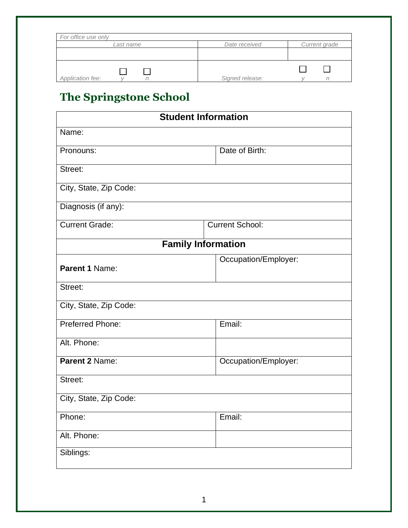| For office use only |                 |               |
|---------------------|-----------------|---------------|
| Last name           | Date received   | Current grade |
|                     |                 |               |
| Application fee:    | Signed release: |               |

## **The Springstone School**

| <b>Student Information</b> |                        |  |
|----------------------------|------------------------|--|
| Name:                      |                        |  |
| Pronouns:                  | Date of Birth:         |  |
| Street:                    |                        |  |
| City, State, Zip Code:     |                        |  |
| Diagnosis (if any):        |                        |  |
| <b>Current Grade:</b>      | <b>Current School:</b> |  |
| <b>Family Information</b>  |                        |  |
| Parent 1 Name:             | Occupation/Employer:   |  |
| Street:                    |                        |  |
| City, State, Zip Code:     |                        |  |
| Preferred Phone:           | Email:                 |  |
| Alt. Phone:                |                        |  |
| Parent 2 Name:             | Occupation/Employer:   |  |
| Street:                    |                        |  |
| City, State, Zip Code:     |                        |  |
| Phone:                     | Email:                 |  |
| Alt. Phone:                |                        |  |
| Siblings:                  |                        |  |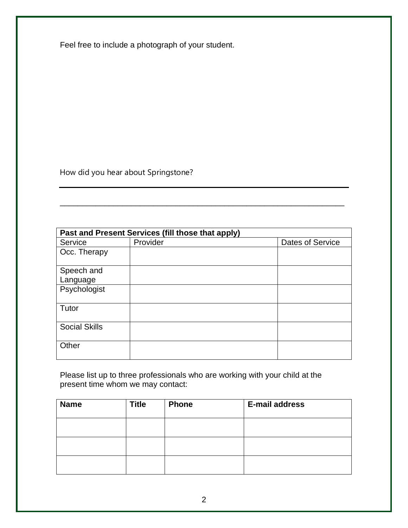Feel free to include a photograph of your student.

How did you hear about Springstone?

| Past and Present Services (fill those that apply) |          |                  |  |
|---------------------------------------------------|----------|------------------|--|
| Service                                           | Provider | Dates of Service |  |
| Occ. Therapy                                      |          |                  |  |
| Speech and                                        |          |                  |  |
| Language                                          |          |                  |  |
| Psychologist                                      |          |                  |  |
| Tutor                                             |          |                  |  |
| <b>Social Skills</b>                              |          |                  |  |
| Other                                             |          |                  |  |

\_\_\_\_\_\_\_\_\_\_\_\_\_\_\_\_\_\_\_\_\_\_\_\_\_\_\_\_\_\_\_\_\_\_\_\_\_\_\_\_\_\_\_\_\_\_\_\_\_\_\_\_\_\_\_\_\_\_\_\_\_\_\_\_

Please list up to three professionals who are working with your child at the present time whom we may contact:

| <b>Name</b> | <b>Title</b> | <b>Phone</b> | <b>E-mail address</b> |
|-------------|--------------|--------------|-----------------------|
|             |              |              |                       |
|             |              |              |                       |
|             |              |              |                       |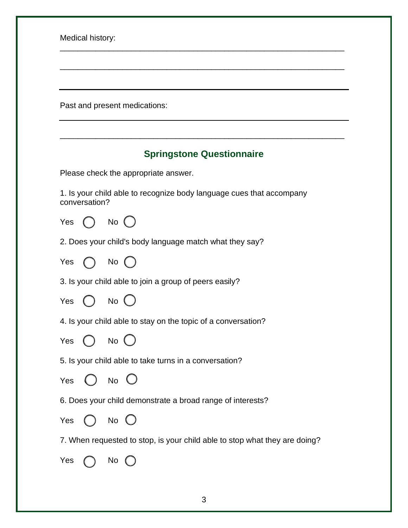Medical history:

Past and present medications:

## **Springstone Questionnaire**

\_\_\_\_\_\_\_\_\_\_\_\_\_\_\_\_\_\_\_\_\_\_\_\_\_\_\_\_\_\_\_\_\_\_\_\_\_\_\_\_\_\_\_\_\_\_\_\_\_\_\_\_\_\_\_\_\_\_\_\_\_\_\_\_

\_\_\_\_\_\_\_\_\_\_\_\_\_\_\_\_\_\_\_\_\_\_\_\_\_\_\_\_\_\_\_\_\_\_\_\_\_\_\_\_\_\_\_\_\_\_\_\_\_\_\_\_\_\_\_\_\_\_\_\_\_\_\_\_

\_\_\_\_\_\_\_\_\_\_\_\_\_\_\_\_\_\_\_\_\_\_\_\_\_\_\_\_\_\_\_\_\_\_\_\_\_\_\_\_\_\_\_\_\_\_\_\_\_\_\_\_\_\_\_\_\_\_\_\_\_\_\_\_

Please check the appropriate answer.

1. Is your child able to recognize body language cues that accompany conversation?

Yes  $\bigcap$  No  $\bigcap$ 

2. Does your child's body language match what they say?



3. Is your child able to join a group of peers easily?

Yes  $\bigcap$  No (

4. Is your child able to stay on the topic of a conversation?



5. Is your child able to take turns in a conversation?

Yes ( ) No  $\left( \begin{array}{c} \end{array} \right)$ 

6. Does your child demonstrate a broad range of interests?

Yes  $\bigcap$  No  $\bigcap$ 

7. When requested to stop, is your child able to stop what they are doing?

| Yes |  | N٥ |  |
|-----|--|----|--|
|-----|--|----|--|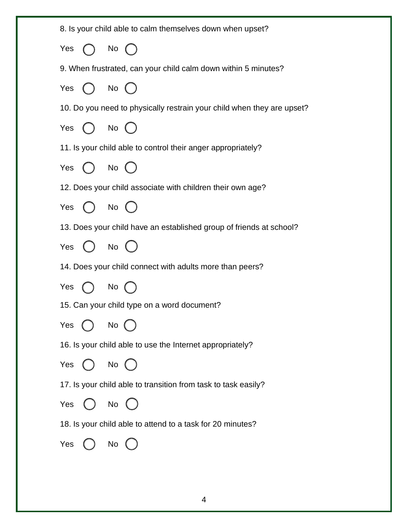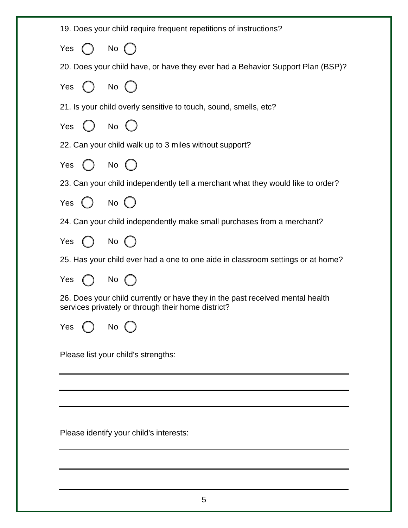| 19. Does your child require frequent repetitions of instructions?                                                                   |
|-------------------------------------------------------------------------------------------------------------------------------------|
| Yes $()$ No $()$                                                                                                                    |
| 20. Does your child have, or have they ever had a Behavior Support Plan (BSP)?                                                      |
| Yes $\bigcap$ No $\bigcap$                                                                                                          |
| 21. Is your child overly sensitive to touch, sound, smells, etc?                                                                    |
| Yes $\bigcirc$ No $\bigcirc$                                                                                                        |
| 22. Can your child walk up to 3 miles without support?                                                                              |
| Yes $()$ No $()$                                                                                                                    |
| 23. Can your child independently tell a merchant what they would like to order?                                                     |
| Yes $\bigcirc$ No $\bigcirc$                                                                                                        |
| 24. Can your child independently make small purchases from a merchant?                                                              |
| Yes $\bigcap$ No $\bigcap$                                                                                                          |
| 25. Has your child ever had a one to one aide in classroom settings or at home?                                                     |
| Yes $\bigcirc$ No $\bigcirc$                                                                                                        |
| 26. Does your child currently or have they in the past received mental health<br>services privately or through their home district? |
| Yes<br>No                                                                                                                           |
| Please list your child's strengths:                                                                                                 |
|                                                                                                                                     |
|                                                                                                                                     |
| Please identify your child's interests:                                                                                             |
|                                                                                                                                     |
|                                                                                                                                     |
|                                                                                                                                     |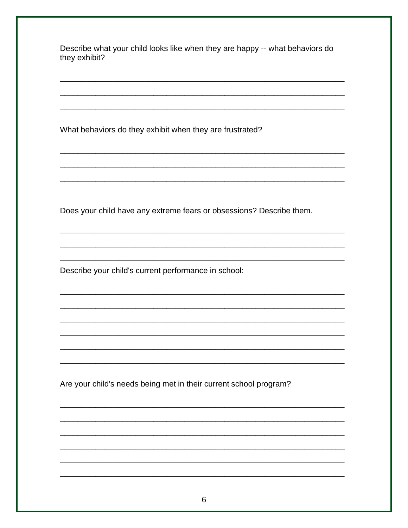Describe what your child looks like when they are happy -- what behaviors do they exhibit?

What behaviors do they exhibit when they are frustrated?

Does your child have any extreme fears or obsessions? Describe them.

Describe your child's current performance in school:

Are your child's needs being met in their current school program?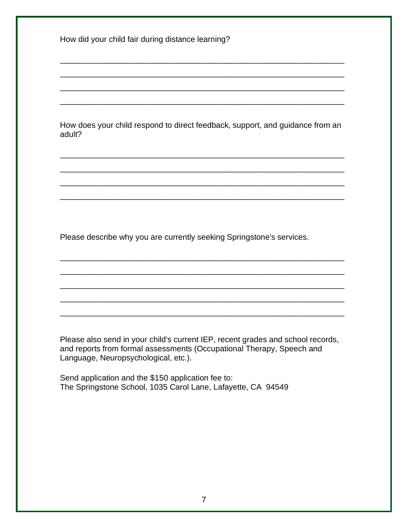How did your child fair during distance learning?

How does your child respond to direct feedback, support, and guidance from an adult?

\_\_\_\_\_\_\_\_\_\_\_\_\_\_\_\_\_\_\_\_\_\_\_\_\_\_\_\_\_\_\_\_\_\_\_\_\_\_\_\_\_\_\_\_\_\_\_\_\_\_\_\_\_\_\_\_\_\_\_\_\_\_\_\_

\_\_\_\_\_\_\_\_\_\_\_\_\_\_\_\_\_\_\_\_\_\_\_\_\_\_\_\_\_\_\_\_\_\_\_\_\_\_\_\_\_\_\_\_\_\_\_\_\_\_\_\_\_\_\_\_\_\_\_\_\_\_\_\_

\_\_\_\_\_\_\_\_\_\_\_\_\_\_\_\_\_\_\_\_\_\_\_\_\_\_\_\_\_\_\_\_\_\_\_\_\_\_\_\_\_\_\_\_\_\_\_\_\_\_\_\_\_\_\_\_\_\_\_\_\_\_\_\_

\_\_\_\_\_\_\_\_\_\_\_\_\_\_\_\_\_\_\_\_\_\_\_\_\_\_\_\_\_\_\_\_\_\_\_\_\_\_\_\_\_\_\_\_\_\_\_\_\_\_\_\_\_\_\_\_\_\_\_\_\_\_\_\_

\_\_\_\_\_\_\_\_\_\_\_\_\_\_\_\_\_\_\_\_\_\_\_\_\_\_\_\_\_\_\_\_\_\_\_\_\_\_\_\_\_\_\_\_\_\_\_\_\_\_\_\_\_\_\_\_\_\_\_\_\_\_\_\_

\_\_\_\_\_\_\_\_\_\_\_\_\_\_\_\_\_\_\_\_\_\_\_\_\_\_\_\_\_\_\_\_\_\_\_\_\_\_\_\_\_\_\_\_\_\_\_\_\_\_\_\_\_\_\_\_\_\_\_\_\_\_\_\_

\_\_\_\_\_\_\_\_\_\_\_\_\_\_\_\_\_\_\_\_\_\_\_\_\_\_\_\_\_\_\_\_\_\_\_\_\_\_\_\_\_\_\_\_\_\_\_\_\_\_\_\_\_\_\_\_\_\_\_\_\_\_\_\_

\_\_\_\_\_\_\_\_\_\_\_\_\_\_\_\_\_\_\_\_\_\_\_\_\_\_\_\_\_\_\_\_\_\_\_\_\_\_\_\_\_\_\_\_\_\_\_\_\_\_\_\_\_\_\_\_\_\_\_\_\_\_\_\_

\_\_\_\_\_\_\_\_\_\_\_\_\_\_\_\_\_\_\_\_\_\_\_\_\_\_\_\_\_\_\_\_\_\_\_\_\_\_\_\_\_\_\_\_\_\_\_\_\_\_\_\_\_\_\_\_\_\_\_\_\_\_\_\_

\_\_\_\_\_\_\_\_\_\_\_\_\_\_\_\_\_\_\_\_\_\_\_\_\_\_\_\_\_\_\_\_\_\_\_\_\_\_\_\_\_\_\_\_\_\_\_\_\_\_\_\_\_\_\_\_\_\_\_\_\_\_\_\_

\_\_\_\_\_\_\_\_\_\_\_\_\_\_\_\_\_\_\_\_\_\_\_\_\_\_\_\_\_\_\_\_\_\_\_\_\_\_\_\_\_\_\_\_\_\_\_\_\_\_\_\_\_\_\_\_\_\_\_\_\_\_\_\_

\_\_\_\_\_\_\_\_\_\_\_\_\_\_\_\_\_\_\_\_\_\_\_\_\_\_\_\_\_\_\_\_\_\_\_\_\_\_\_\_\_\_\_\_\_\_\_\_\_\_\_\_\_\_\_\_\_\_\_\_\_\_\_\_

\_\_\_\_\_\_\_\_\_\_\_\_\_\_\_\_\_\_\_\_\_\_\_\_\_\_\_\_\_\_\_\_\_\_\_\_\_\_\_\_\_\_\_\_\_\_\_\_\_\_\_\_\_\_\_\_\_\_\_\_\_\_\_\_

Please describe why you are currently seeking Springstone's services.

Please also send in your child's current IEP, recent grades and school records, and reports from formal assessments (Occupational Therapy, Speech and Language, Neuropsychological, etc.).

Send application and the \$150 application fee to: The Springstone School, 1035 Carol Lane, Lafayette, CA 94549